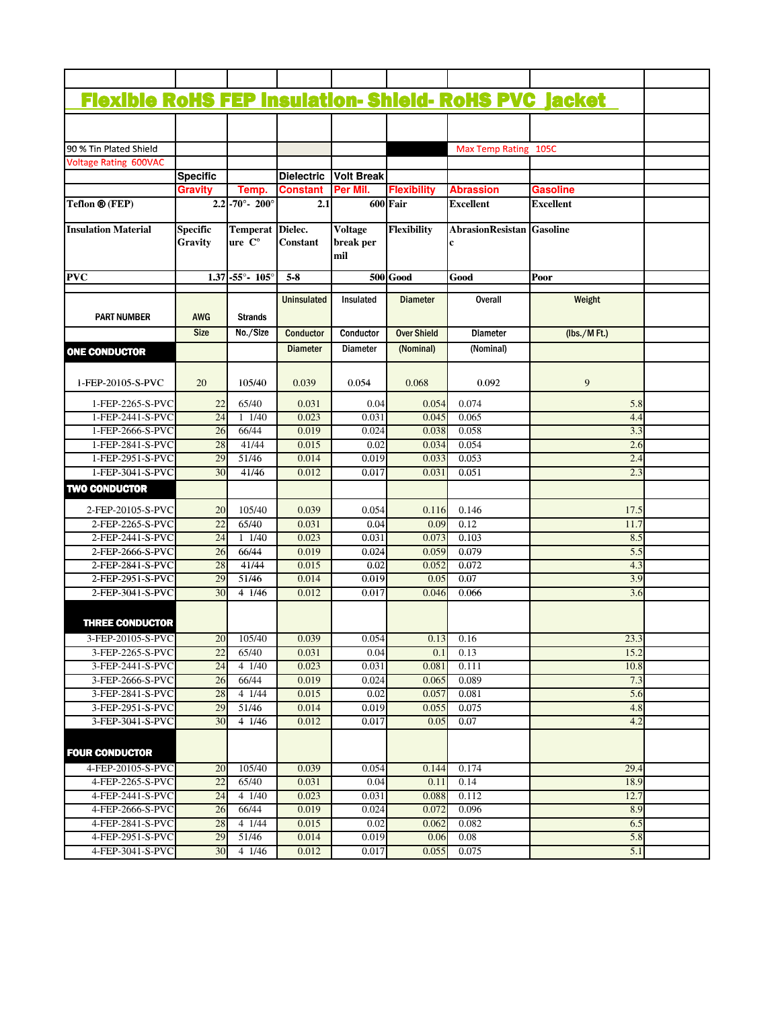| <b>Flexible RoHS FEP insulation- Shield- RoHS PVC jacket</b> |                                   |                                   |                            |                                    |                    |                                  |                  |  |
|--------------------------------------------------------------|-----------------------------------|-----------------------------------|----------------------------|------------------------------------|--------------------|----------------------------------|------------------|--|
|                                                              |                                   |                                   |                            |                                    |                    |                                  |                  |  |
| 90 % Tin Plated Shield                                       |                                   |                                   |                            |                                    |                    | Max Temp Rating 105C             |                  |  |
| <b>Voltage Rating 600VAC</b>                                 |                                   |                                   |                            |                                    |                    |                                  |                  |  |
|                                                              | <b>Specific</b>                   |                                   | <b>Dielectric</b>          | <b>Volt Break</b>                  |                    |                                  |                  |  |
|                                                              | <b>Gravity</b>                    | Temp.                             | <b>Constant</b>            | Per Mil.                           | <b>Flexibility</b> | <b>Abrassion</b>                 | <b>Gasoline</b>  |  |
| Teflon ® (FEP)                                               |                                   | $2.2 - 70^{\circ} - 200^{\circ}$  | 2.1                        |                                    | 600 Fair           | <b>Excellent</b>                 | <b>Excellent</b> |  |
| <b>Insulation Material</b>                                   | <b>Specific</b><br><b>Gravity</b> | <b>Temperat</b><br>ure C°         | Dielec.<br><b>Constant</b> | <b>Voltage</b><br>break per<br>mil | <b>Flexibility</b> | <b>AbrasionResistan Gasoline</b> |                  |  |
| <b>PVC</b>                                                   |                                   | $1.37 - 55^{\circ} - 105^{\circ}$ | $5-8$                      |                                    | <b>500</b> Good    | Good                             | Poor             |  |
| <b>PART NUMBER</b>                                           | <b>AWG</b>                        | <b>Strands</b>                    | Uninsulated                | Insulated                          | <b>Diameter</b>    | <b>Overall</b>                   | Weight           |  |
|                                                              | <b>Size</b>                       | No./Size                          | <b>Conductor</b>           | Conductor                          | <b>Over Shield</b> | <b>Diameter</b>                  | $(lbs./M$ Ft.)   |  |
|                                                              |                                   |                                   | <b>Diameter</b>            | <b>Diameter</b>                    |                    |                                  |                  |  |
| <b>ONE CONDUCTOR</b>                                         |                                   |                                   |                            |                                    | (Nominal)          | (Nominal)                        |                  |  |
| 1-FEP-20105-S-PVC                                            | 20                                | 105/40                            | 0.039                      | 0.054                              | 0.068              | 0.092                            | 9                |  |
| 1-FEP-2265-S-PVC                                             | 22                                | 65/40                             | 0.031                      | 0.04                               | 0.054              | 0.074                            | 5.8              |  |
| 1-FEP-2441-S-PVC                                             | 24                                | 11/40                             | 0.023                      | 0.031                              | 0.045              | 0.065                            | 4.4              |  |
| 1-FEP-2666-S-PVC                                             | 26                                | 66/44                             | 0.019                      | 0.024                              | 0.038              | 0.058                            | 3.3              |  |
| 1-FEP-2841-S-PVC                                             | 28                                | 41/44                             | 0.015                      | 0.02                               | 0.034              | 0.054                            | 2.6              |  |
| 1-FEP-2951-S-PVC                                             | 29                                | 51/46                             | 0.014                      | 0.019                              | 0.033              | 0.053                            | 2.4              |  |
| 1-FEP-3041-S-PVC                                             | 30                                | 41/46                             | 0.012                      | 0.017                              | 0.031              | 0.051                            | 2.3              |  |
| <b>TWO CONDUCTOR</b>                                         |                                   |                                   |                            |                                    |                    |                                  |                  |  |
| 2-FEP-20105-S-PVC                                            | 20                                | 105/40                            | 0.039                      | 0.054                              | 0.116              | 0.146                            | 17.5             |  |
| 2-FEP-2265-S-PVC                                             | 22                                | 65/40                             | 0.031                      | 0.04                               | 0.09               | 0.12                             | 11.7             |  |
| 2-FEP-2441-S-PVC                                             | 24                                | 11/40                             | 0.023                      | 0.031                              | 0.073              | 0.103                            | 8.5              |  |
| 2-FEP-2666-S-PVC                                             | 26                                | 66/44                             | 0.019                      | 0.024                              | 0.059              | 0.079                            | 5.5              |  |
| 2-FEP-2841-S-PVC                                             | 28                                | 41/44                             | 0.015                      | 0.02                               | 0.052              | 0.072                            | 4.3              |  |
| 2-FEP-2951-S-PVC                                             | 29                                | 51/46                             | 0.014                      | 0.019                              | 0.05               | 0.07                             | 3.9              |  |
| 2-FEP-3041-S-PVC                                             | 30                                | 4 1/46                            | 0.012                      | 0.017                              | 0.046              | 0.066                            | 3.6              |  |
| <b>THREE CONDUCTOR</b>                                       |                                   |                                   |                            |                                    |                    |                                  |                  |  |
| 3-FEP-20105-S-PVC                                            | 20                                | 105/40                            | 0.039                      | 0.054                              |                    | $0.13 \quad 0.16$                | 23.3             |  |
| 3-FEP-2265-S-PVC                                             | 22                                | 65/40                             | 0.031                      | 0.04                               | 0.1                | 0.13                             | 15.2             |  |
| 3-FEP-2441-S-PVC                                             | 24                                | 41/40                             | 0.023                      | 0.031                              | 0.081              | 0.111                            | 10.8             |  |
| 3-FEP-2666-S-PVC                                             | 26                                | 66/44                             | 0.019                      | 0.024                              | 0.065              | 0.089                            | 7.3              |  |
| 3-FEP-2841-S-PVC                                             | 28                                | 4 1/44                            | 0.015                      | 0.02                               | 0.057              | 0.081                            | 5.6              |  |
| 3-FEP-2951-S-PVC                                             | 29                                | 51/46                             | 0.014                      | 0.019                              | 0.055              | 0.075                            | 4.8              |  |
| 3-FEP-3041-S-PVC                                             | 30                                | 4 1/46                            | 0.012                      | 0.017                              | 0.05               | 0.07                             | 4.2              |  |
| <b>FOUR CONDUCTOR</b>                                        |                                   |                                   |                            |                                    |                    |                                  |                  |  |
| 4-FEP-20105-S-PVC                                            | 20                                | 105/40                            | 0.039                      | 0.054                              | 0.144              | 0.174                            | 29.4             |  |
| 4-FEP-2265-S-PVC                                             | 22                                | 65/40                             | 0.031                      | 0.04                               | 0.11               | 0.14                             | 18.9             |  |
| 4-FEP-2441-S-PVC                                             | 24                                | 4 1/40                            | 0.023                      | 0.031                              | 0.088              | 0.112                            | 12.7             |  |
| 4-FEP-2666-S-PVC                                             | 26                                | 66/44                             | 0.019                      | 0.024                              | 0.072              | 0.096                            | 8.9              |  |
| 4-FEP-2841-S-PVC                                             | 28                                | 4 1/44                            | 0.015                      | 0.02                               | 0.062              | 0.082                            | 6.5              |  |
| 4-FEP-2951-S-PVC                                             | 29                                | 51/46                             | 0.014                      | 0.019                              | 0.06               | 0.08                             | 5.8              |  |
| 4-FEP-3041-S-PVC                                             | 30                                | 4 1/46                            | 0.012                      | 0.017                              | 0.055              | 0.075                            | 5.1              |  |